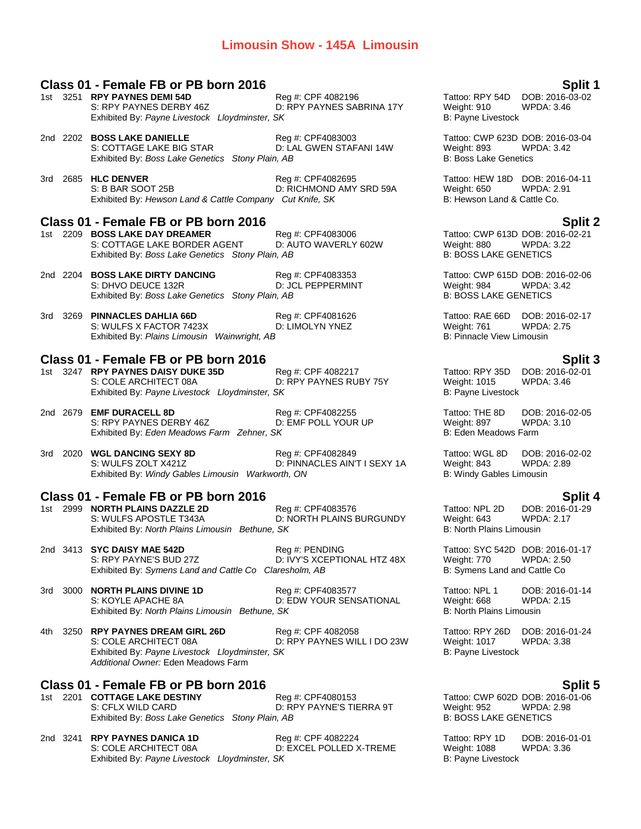### **Limousin Show - 145A Limousin**

|      | Class 01 - Female FB or PB born 2016                                                                                                                  |                                                   |                                                                                 | Split 1                                                |
|------|-------------------------------------------------------------------------------------------------------------------------------------------------------|---------------------------------------------------|---------------------------------------------------------------------------------|--------------------------------------------------------|
|      | 1st 3251 RPY PAYNES DEMI 54D<br>S: RPY PAYNES DERBY 46Z<br>Exhibited By: Payne Livestock Lloydminster, SK                                             | Reg #: CPF 4082196<br>D: RPY PAYNES SABRINA 17Y   | Tattoo: RPY 54D<br>Weight: 910<br>B: Payne Livestock                            | DOB: 2016-03-02<br>WPDA: 3.46                          |
|      | 2nd 2202 BOSS LAKE DANIELLE<br>S: COTTAGE LAKE BIG STAR<br>Exhibited By: Boss Lake Genetics Stony Plain, AB                                           | Reg #: CPF4083003<br>D: LAL GWEN STAFANI 14W      | Tattoo: CWP 623D DOB: 2016-03-04<br>Weight: 893<br><b>B: Boss Lake Genetics</b> | WPDA: 3.42                                             |
|      | 3rd 2685 HLC DENVER<br>S: B BAR SOOT 25B<br>Exhibited By: Hewson Land & Cattle Company Cut Knife, SK                                                  | Reg #: CPF4082695<br>D: RICHMOND AMY SRD 59A      | Tattoo: HEW 18D DOB: 2016-04-11<br>Weight: 650<br>B: Hewson Land & Cattle Co.   | <b>WPDA: 2.91</b>                                      |
|      | Class 01 - Female FB or PB born 2016                                                                                                                  |                                                   |                                                                                 | <b>Split 2</b>                                         |
|      | 1st 2209 BOSS LAKE DAY DREAMER<br>S: COTTAGE LAKE BORDER AGENT<br>Exhibited By: Boss Lake Genetics Stony Plain, AB                                    | Reg #: CPF4083006<br>D: AUTO WAVERLY 602W         | Tattoo: CWP 613D DOB: 2016-02-21<br>Weight: 880<br><b>B: BOSS LAKE GENETICS</b> | WPDA: 3.22                                             |
|      | 2nd 2204 BOSS LAKE DIRTY DANCING<br>S: DHVO DEUCE 132R<br>Exhibited By: Boss Lake Genetics Stony Plain, AB                                            | Reg #: CPF4083353<br><b>D: JCL PEPPERMINT</b>     | Tattoo: CWP 615D DOB: 2016-02-06<br>Weight: 984<br><b>B: BOSS LAKE GENETICS</b> | WPDA: 3.42                                             |
|      | 3rd 3269 PINNACLES DAHLIA 66D<br>S: WULFS X FACTOR 7423X<br>Exhibited By: Plains Limousin Wainwright, AB                                              | Reg #: CPF4081626<br>D: LIMOLYN YNEZ              | Tattoo: RAE 66D DOB: 2016-02-17<br>Weight: 761<br>B: Pinnacle View Limousin     | <b>WPDA: 2.75</b>                                      |
|      |                                                                                                                                                       |                                                   |                                                                                 |                                                        |
|      | Class 01 - Female FB or PB born 2016<br>1st 3247 RPY PAYNES DAISY DUKE 35D<br>S: COLE ARCHITECT 08A<br>Exhibited By: Payne Livestock Lloydminster, SK | Reg #: CPF 4082217<br>D: RPY PAYNES RUBY 75Y      | Tattoo: RPY 35D<br>Weight: 1015<br>B: Payne Livestock                           | <b>Split 3</b><br>DOB: 2016-02-01<br><b>WPDA: 3.46</b> |
|      | 2nd 2679 EMF DURACELL 8D<br>S: RPY PAYNES DERBY 46Z<br>Exhibited By: Eden Meadows Farm Zehner, SK                                                     | Reg #: CPF4082255<br>D: EMF POLL YOUR UP          | Tattoo: THE 8D<br>Weight: 897<br>B: Eden Meadows Farm                           | DOB: 2016-02-05<br><b>WPDA: 3.10</b>                   |
|      | 3rd 2020 WGL DANCING SEXY 8D<br>S: WULFS ZOLT X421Z<br>Exhibited By: Windy Gables Limousin Warkworth, ON                                              | Reg #: CPF4082849<br>D: PINNACLES AIN'T I SEXY 1A | Tattoo: WGL 8D<br>Weight: 843<br>B: Windy Gables Limousin                       | DOB: 2016-02-02<br><b>WPDA: 2.89</b>                   |
|      | Class 01 - Female FB or PB born 2016                                                                                                                  |                                                   |                                                                                 | <b>Split 4</b>                                         |
|      | 1st 2999 NORTH PLAINS DAZZLE 2D<br>S: WULFS APOSTLE T343A<br>Exhibited By: North Plains Limousin Bethune, SK                                          | Reg #: CPF4083576<br>D: NORTH PLAINS BURGUNDY     | Tattoo: NPL 2D<br>Weight: 643<br><b>B: North Plains Limousin</b>                | DOB: 2016-01-29<br><b>WPDA: 2.17</b>                   |
|      | 2nd 3413 SYC DAISY MAE 542D<br>S: RPY PAYNE'S BUD 27Z<br>Exhibited By: Symens Land and Cattle Co Claresholm, AB                                       | Reg #: PENDING<br>D: IVY'S XCEPTIONAL HTZ 48X     | Tattoo: SYC 542D DOB: 2016-01-17<br>Weight: 770<br>B: Symens Land and Cattle Co | <b>WPDA: 2.50</b>                                      |
|      | 3rd 3000 NORTH PLAINS DIVINE 1D<br>S: KOYLE APACHE 8A<br>Exhibited By: North Plains Limousin Bethune, SK                                              | Reg #: CPF4083577<br>D: EDW YOUR SENSATIONAL      | Tattoo: NPL 1<br>Weight: 668<br><b>B: North Plains Limousin</b>                 | DOB: 2016-01-14<br><b>WPDA: 2.15</b>                   |
| 4th. | 3250 RPY PAYNES DREAM GIRL 26D<br>S: COLE ARCHITECT 08A<br>Exhibited By: Payne Livestock Lloydminster, SK<br>Additional Owner: Eden Meadows Farm      | Reg #: CPF 4082058<br>D: RPY PAYNES WILL I DO 23W | Tattoo: RPY 26D<br><b>Weight: 1017</b><br>B: Payne Livestock                    | DOB: 2016-01-24<br>WPDA: 3.38                          |

# **Class 01 - Female FB or PB born 2016 Split 5**

**1st 2201 COTTAGE LAKE DESTINY** Reg #: CPF4080153 Terms and the COTTAGE LAKE DESTINY Reg #: CPF4080153 TERRA 9T<br>
2.081 S: CFLX WILD CARD CARD D: RPY PAYNE'S TIERRA 9T Weight: 952 WPDA: 2.98 D: RPY PAYNE'S TIERRA 9T Exhibited By: *Boss Lake Genetics Stony Plain, AB* B: **BOSS LAKE GENETICS** 

2nd 3241 **RPY PAYNES DANICA 1D** Reg #: CPF 4082224 Tattoo: RPY 1D DOB: 2016-01-01<br>S: COLE ARCHITECT 08A D: EXCEL POLLED X-TREME Weight: 1088 WPDA: 3.36 S: COLE ARCHITECT 08A D: EXCEL POLLED X-TREME Weight: 1088<br>Exhibited By: Payne Livestock Lloydminster, SK B: Payne Livestock Exhibited By: Payne Livestock Lloydminster, SK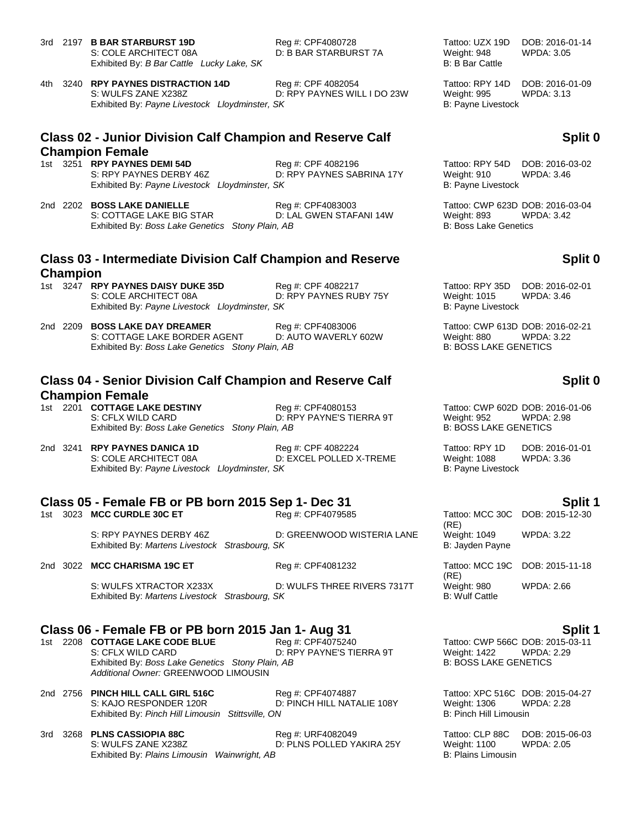3rd 2197 **B BAR STARBURST 19D** Reg #: CPF4080728 Tattoo: UZX 19D DOB: 2016-01-14<br>S: COLE ARCHITECT 08A D: B BAR STARBURST 7A Weight: 948 WPDA: 3.05 S: COLE ARCHITECT 08A D: B BAR STARBURST 7A Exhibited By: *B Bar Cattle Lucky Lake, SK* B: B Bar Cattle B: B Bar Cattle

4th 3240 **RPY PAYNES DISTRACTION 14D** Reg #: CPF 4082054 Tattoo: RPY 14D DOB: 2016-01-09 S: WULFS ZANE X238Z CONDUCTER PAYNES WILL I DO 23W Weight: 995 WPDA: 3.13 Exhibited By: Payne Livestock Lloydminster, SK B: Payne Livestock B: Payne Livestock

### **Class 02 - Junior Division Calf Champion and Reserve Calf Champion Female**

- 1st 3251 **RPY PAYNES DEMI 54D** Reg #: CPF 4082196 Tattoo: RPY 54D DOB: 2016-03-02<br>S: RPY PAYNES DERBY 46Z D: RPY PAYNES SABRINA 17Y Weight: 910 WPDA: 3.46 D: RPY PAYNES SABRINA 17Y Weight: 910 Exhibited By: Payne Livestock Lloydminster, SK B: Payne Livestock B: Payne Livestock
- 2nd 2202 **BOSS LAKE DANIELLE** Reg #: CPF4083003 Tattoo: CWP 623D DOB: 2016-03-04 S: COTTAGE LAKE BIG STAR D: LAL GWEN STAFANI 14W Weight: 893 WPDA: 3.42 Exhibited By: *Boss Lake Genetics Stony Plain, AB* B: Boss Lake Genetics Stony Plain, AB

### **Class 03 - Intermediate Division Calf Champion and Reserve Champion**

- 1st 3247 **RPY PAYNES DAISY DUKE 35D** Reg #: CPF 4082217 Tattoo: RPY 35D DOB: 2016-02-01 S: COLE ARCHITECT 08A D: RPY PAYNES RUBY 75Y Weight: 1015 WPDA: 3.46 Exhibited By: Payne Livestock Lloydminster, SK B: Payne Livestock B: Payne Livestock
- 2nd 2209 **BOSS LAKE DAY DREAMER** Reg #: CPF4083006 Tattoo: CWP 613D DOB: 2016-02-21 S: COTTAGE LAKE BORDER AGENT D: AUTO WAVERLY 602W Weight: 880 WPDA: 3.22<br>
Exhibited By: Boss Lake Genetics Stony Plain, AB CHANGERLY 602W B: BOSS LAKE GENETICS Exhibited By: *Boss Lake Genetics Stony Plain, AB*

### **Class 04 - Senior Division Calf Champion and Reserve Calf Champion Female**

- 1st 2201 **COTTAGE LAKE DESTINY** Reg #: CPF4080153 Tattoo: CWP 602D DOB: 2016-01-06 S: CFLX WILD CARD D: RPY PAYNE'S TIERRA 9T Weight: 952 WPDA: 2.98 Exhibited By: *Boss Lake Genetics Stony Plain, AB* B: BOSS LAKE GENETICS
- 2nd 3241 **RPY PAYNES DANICA 1D** Reg #: CPF 4082224 Tattoo: RPY 1D DOB: 2016-01-01 S: COLE ARCHITECT 08A D: EXCEL POLLED X-TREME Weight: 1088 WPDA: 3.36 Exhibited By: Payne Livestock Lloydminster, SK B: Payne Livestock Library and B: Payne Livestock

# **Class 05 - Female FB or PB born 2015 Sep 1- Dec 31 Split 1**

1st 3023 **MCC CURDLE 30C ET** 

S: RPY PAYNES DERBY 46Z D: GREENWOOD WISTERIA LANE Exhibited By: Martens Livestock Strasbourg, SK

|  | 2nd 3022 MCC CHARISMA 19C ET                   | Reg #: CPF4081232           | Tattoo: MCC 19C DOB: 2015-<br>(RE) |                   |
|--|------------------------------------------------|-----------------------------|------------------------------------|-------------------|
|  | S: WULFS XTRACTOR X233X                        | D: WULFS THREE RIVERS 7317T | Weight: 980                        | <b>WPDA: 2.66</b> |
|  | Exhibited By: Martens Livestock Strasbourg, SK |                             | <b>B:</b> Wulf Cattle              |                   |

# **Class 06 - Female FB or PB born 2015 Jan 1- Aug 31 Split 1**

1st 2208 **COTTAGE LAKE CODE BLUE** Reg #: CPF4075240 Tattoo: CWP 566C DOB: 2015-03-11<br>S: CFLX WILD CARD D: RPY PAYNE'S TIERRA 9T Weight: 1422 WPDA: 2.29 Exhibited By: *Boss Lake Genetics Stony Plain, AB* B: BOSS LAKE GENETICS *Additional Owner:* GREENWOOD LIMOUSIN

- 2nd 2756 **PINCH HILL CALL GIRL 516C** Reg #: CPF4074887 Tattoo: XPC 516C DOB: 2015-04-27 D: PINCH HILL NATALIE 108Y Weight: 1306 W<br>M<br>B: Pinch Hill Limousin Exhibited By: Pinch Hill Limousin Stittsville, ON
- 3rd 3268 **PLNS CASSIOPIA 88C** Reg #: URF4082049 Tattoo: CLP 88C DOB: 2015-06-03 D: PLNS POLLED YAKIRA 25Y Weight: 1100<br>3<br>B: Plains Limousin Exhibited By: Plains Limousin Wainwright, AB

## **Split 0**

## **Split 0**

## **Split 0**

| (RE)                            | Tattoo: MCC 30C DOB: 2015-12-30 |
|---------------------------------|---------------------------------|
| Weight: 1049<br>B: Jayden Payne | WPDA: 3.22                      |
| (RE)                            | Tattoo: MCC 19C DOB: 2015-11-18 |
| Weight: 980                     | WPDA: 2.66                      |

D: RPY PAYNE'S TIERRA 9T Weight: 1422 WPDA: 2.29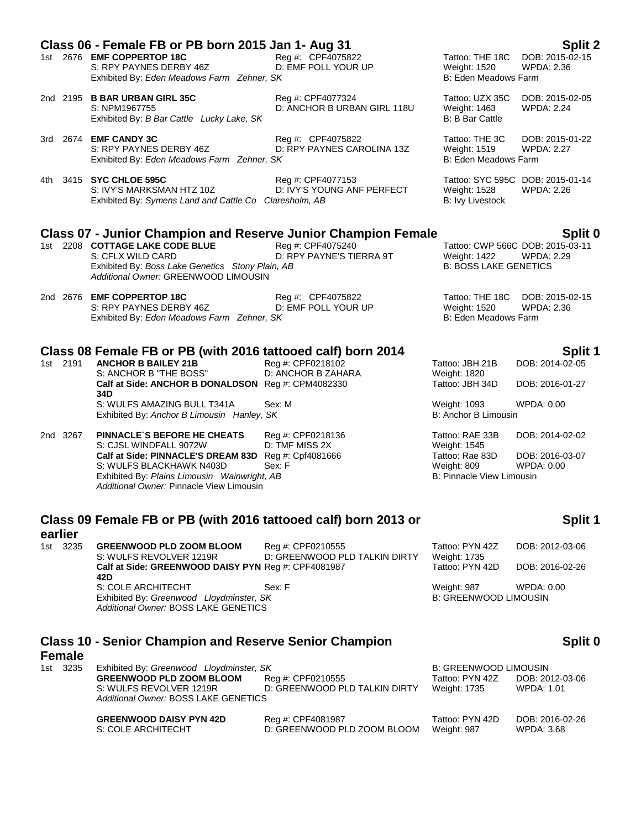|          | Class 06 - Female FB or PB born 2015 Jan 1- Aug 31<br>1st 2676 EMF COPPERTOP 18C<br>S: RPY PAYNES DERBY 46Z<br>Exhibited By: Eden Meadows Farm Zehner, SK  | Reg #: CPF4075822<br>D: EMF POLL YOUR UP         | Tattoo: THE 18C<br>Weight: 1520<br>B: Eden Meadows Farm                            | Split 2<br>DOB: 2015-02-15<br><b>WPDA: 2.36</b>       |
|----------|------------------------------------------------------------------------------------------------------------------------------------------------------------|--------------------------------------------------|------------------------------------------------------------------------------------|-------------------------------------------------------|
|          | 2nd 2195 B BAR URBAN GIRL 35C<br>S: NPM1967755<br>Exhibited By: B Bar Cattle Lucky Lake, SK                                                                | Reg #: CPF4077324<br>D: ANCHOR B URBAN GIRL 118U | Tattoo: UZX 35C<br>Weight: 1463<br><b>B: B Bar Cattle</b>                          | DOB: 2015-02-05<br><b>WPDA: 2.24</b>                  |
|          | 3rd 2674 <b>EMF CANDY 3C</b><br>S: RPY PAYNES DERBY 46Z<br>Exhibited By: Eden Meadows Farm Zehner, SK                                                      | Reg #: CPF4075822<br>D: RPY PAYNES CAROLINA 13Z  | Tattoo: THE 3C<br>Weight: 1519<br>B: Eden Meadows Farm                             | DOB: 2015-01-22<br><b>WPDA: 2.27</b>                  |
|          | 4th 3415 SYC CHLOE 595C<br>S: IVY'S MARKSMAN HTZ 10Z<br>Exhibited By: Symens Land and Cattle Co Claresholm, AB                                             | Reg #: CPF4077153<br>D: IVY'S YOUNG ANF PERFECT  | <b>Weight: 1528</b><br><b>B:</b> Ivy Livestock                                     | Tattoo: SYC 595C DOB: 2015-01-14<br><b>WPDA: 2.26</b> |
|          | <b>Class 07 - Junior Champion and Reserve Junior Champion Female</b>                                                                                       |                                                  |                                                                                    | Split 0                                               |
|          | 1st 2208 COTTAGE LAKE CODE BLUE<br>S: CFLX WILD CARD<br>Exhibited By: Boss Lake Genetics Stony Plain, AB<br>Additional Owner: GREENWOOD LIMOUSIN           | Reg #: CPF4075240<br>D: RPY PAYNE'S TIERRA 9T    | <b>Weight: 1422</b><br><b>B: BOSS LAKE GENETICS</b>                                | Tattoo: CWP 566C DOB: 2015-03-11<br>WPDA: 2.29        |
|          | 2nd 2676 EMF COPPERTOP 18C<br>S: RPY PAYNES DERBY 46Z<br>Exhibited By: Eden Meadows Farm Zehner, SK                                                        | Reg #: CPF4075822<br>D: EMF POLL YOUR UP         | Tattoo: THE 18C<br>Weight: 1520<br>B: Eden Meadows Farm                            | DOB: 2015-02-15<br><b>WPDA: 2.36</b>                  |
|          | Class 08 Female FB or PB (with 2016 tattooed calf) born 2014                                                                                               |                                                  |                                                                                    | Split 1                                               |
| 1st 2191 | <b>ANCHOR B BAILEY 21B</b>                                                                                                                                 | Reg #: CPF0218102                                | Tattoo: JBH 21B                                                                    | DOB: 2014-02-05                                       |
|          | S: ANCHOR B "THE BOSS"<br>Calf at Side: ANCHOR B DONALDSON Reg #: CPM4082330                                                                               | D: ANCHOR B ZAHARA                               | Weight: 1820<br>Tattoo: JBH 34D                                                    | DOB: 2016-01-27                                       |
|          | 34D<br>S: WULFS AMAZING BULL T341A<br>Exhibited By: Anchor B Limousin Hanley, SK                                                                           | Sex: M                                           | Weight: 1093<br>B: Anchor B Limousin                                               | <b>WPDA: 0.00</b>                                     |
| 2nd 3267 | PINNACLE'S BEFORE HE CHEATS                                                                                                                                | Reg #: CPF0218136                                | Tattoo: RAE 33B                                                                    | DOB: 2014-02-02                                       |
|          | S: CJSL WINDFALL 9072W<br>Calf at Side: PINNACLE'S DREAM 83D Reg #: Cpf4081666<br>S: WULFS BLACKHAWK N403D<br>Exhibited By: Plains Limousin Wainwright, AB | D: TMF MISS 2X<br>Sex: F                         | Weight: 1545<br>Tattoo: Rae 83D<br>Weight: 809<br><b>B: Pinnacle View Limousin</b> | DOB: 2016-03-07<br><b>WPDA: 0.00</b>                  |

# **Class 09 Female FB or PB (with 2016 tattooed calf) born 2013 or**

Exhibited By: Plains Limousin Wainwright, AB *Additional Owner:* Pinnacle View Limousin

**earlier**<br>1st 3235 **GREENWOOD PLD ZOOM BLOOM** Reg #: CPF0210555 Tattoo: PYN 42Z DOB: 2012-03-06<br>S: WULFS REVOLVER 1219R D: GREENWOOD PLD TALKIN DIRTY Weight: 1735 D: GREENWOOD PLD TALKIN DIRTY Weight: 1735<br>Reg #: CPF4081987 Tattoo: PYN 42D Calf at Side: GREENWOOD DAISY PYN Reg #: CPF4081987 Tattoo: PYN 42D DOB: 2016-02-26 **42D** S: COLE ARCHITECHT Sex: F<br>
Sex: F Weight: 987 WPDA: 0.00<br>
Exhibited By: *Greenwood Lloydminster*, *SK* B: GREENWOOD LIMOUSIN Exhibited By: Greenwood Lloydminster, SK *Additional Owner:* BOSS LAKE GENETICS

**Class 10 - Senior Champion and Reserve Senior Champion** 

### **Female**

| 1st 3235 | Exhibited By: Greenwood Lloydminster, SK |                               | <b>B: GREENWOOD LIMOUSIN</b> |                 |
|----------|------------------------------------------|-------------------------------|------------------------------|-----------------|
|          | <b>GREENWOOD PLD ZOOM BLOOM</b>          | Reg #: CPF0210555             | Tattoo: PYN 42Z              | DOB: 2012-03-06 |
|          | S: WULFS REVOLVER 1219R                  | D: GREENWOOD PLD TALKIN DIRTY | Weight: 1735                 | WPDA: 1.01      |
|          | Additional Owner: BOSS LAKE GENETICS     |                               |                              |                 |
|          |                                          |                               |                              |                 |

| <b>GREENWOOD DAISY PYN 42D</b> | Reg #: CPF4081987           | Tattoo: PYN 42D | DOB: 2016-02-26 |
|--------------------------------|-----------------------------|-----------------|-----------------|
| S: COLE ARCHITECHT             | D: GREENWOOD PLD ZOOM BLOOM | Weight: 987     | WPDA: 3.68      |

## **Split 0**

**Split 1**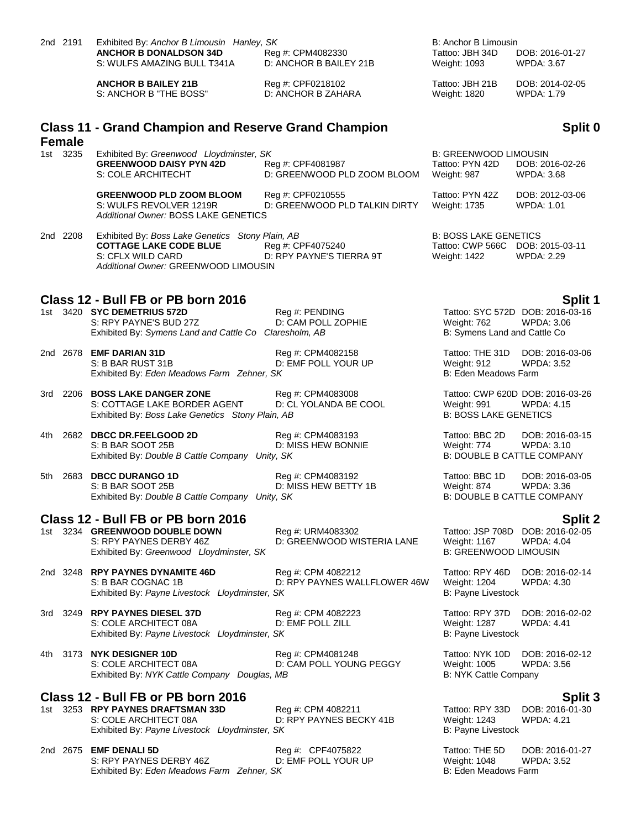|      | 2nd 2191      | Exhibited By: Anchor B Limousin Hanley, SK<br><b>ANCHOR B DONALDSON 34D</b>                                        | Reg #: CPM4082330                                  | B: Anchor B Limousin<br>Tattoo: JBH 34D                            | DOB: 2016-01-27                                       |
|------|---------------|--------------------------------------------------------------------------------------------------------------------|----------------------------------------------------|--------------------------------------------------------------------|-------------------------------------------------------|
|      |               | S: WULFS AMAZING BULL T341A                                                                                        | D: ANCHOR B BAILEY 21B                             | Weight: 1093                                                       | WPDA: 3.67                                            |
|      |               | <b>ANCHOR B BAILEY 21B</b><br>S: ANCHOR B "THE BOSS"                                                               | Reg #: CPF0218102<br>D: ANCHOR B ZAHARA            | Tattoo: JBH 21B<br>Weight: 1820                                    | DOB: 2014-02-05<br>WPDA: 1.79                         |
|      | <b>Female</b> | <b>Class 11 - Grand Champion and Reserve Grand Champion</b>                                                        |                                                    |                                                                    | Split 0                                               |
|      | 1st 3235      | Exhibited By: Greenwood Lloydminster, SK                                                                           |                                                    | <b>B: GREENWOOD LIMOUSIN</b>                                       |                                                       |
|      |               | <b>GREENWOOD DAISY PYN 42D</b><br>S: COLE ARCHITECHT                                                               | Reg #: CPF4081987<br>D: GREENWOOD PLD ZOOM BLOOM   | Tattoo: PYN 42D<br>Weight: 987                                     | DOB: 2016-02-26<br><b>WPDA: 3.68</b>                  |
|      |               | <b>GREENWOOD PLD ZOOM BLOOM</b><br>S: WULFS REVOLVER 1219R<br>Additional Owner: BOSS LAKE GENETICS                 | Reg #: CPF0210555<br>D: GREENWOOD PLD TALKIN DIRTY | Tattoo: PYN 42Z<br>Weight: 1735                                    | DOB: 2012-03-06<br><b>WPDA: 1.01</b>                  |
|      | 2nd 2208      | Exhibited By: Boss Lake Genetics Stony Plain, AB                                                                   |                                                    | <b>B: BOSS LAKE GENETICS</b>                                       |                                                       |
|      |               | <b>COTTAGE LAKE CODE BLUE</b><br>S: CFLX WILD CARD<br>Additional Owner: GREENWOOD LIMOUSIN                         | Reg #: CPF4075240<br>D: RPY PAYNE'S TIERRA 9T      | Tattoo: CWP 566C DOB: 2015-03-11<br>Weight: 1422                   | <b>WPDA: 2.29</b>                                     |
|      |               | Class 12 - Bull FB or PB born 2016                                                                                 |                                                    |                                                                    | Split 1                                               |
|      |               | 1st 3420 SYC DEMETRIUS 572D<br>S: RPY PAYNE'S BUD 27Z<br>Exhibited By: Symens Land and Cattle Co Claresholm, AB    | Reg #: PENDING<br>D: CAM POLL ZOPHIE               | Weight: 762<br>B: Symens Land and Cattle Co                        | Tattoo: SYC 572D DOB: 2016-03-16<br><b>WPDA: 3.06</b> |
|      |               | 2nd 2678 <b>EMF DARIAN 31D</b><br>S: B BAR RUST 31B<br>Exhibited By: Eden Meadows Farm Zehner, SK                  | Reg #: CPM4082158<br>D: EMF POLL YOUR UP           | Tattoo: THE 31D<br>Weight: 912<br>B: Eden Meadows Farm             | DOB: 2016-03-06<br>WPDA: 3.52                         |
|      |               | 3rd 2206 BOSS LAKE DANGER ZONE<br>S: COTTAGE LAKE BORDER AGENT<br>Exhibited By: Boss Lake Genetics Stony Plain, AB | Reg #: CPM4083008<br>D: CL YOLANDA BE COOL         | Weight: 991<br><b>B: BOSS LAKE GENETICS</b>                        | Tattoo: CWP 620D DOB: 2016-03-26<br><b>WPDA: 4.15</b> |
|      |               | 4th 2682 DBCC DR.FEELGOOD 2D<br>S: B BAR SOOT 25B<br>Exhibited By: Double B Cattle Company Unity, SK               | Reg #: CPM4083193<br>D: MISS HEW BONNIE            | Tattoo: BBC 2D<br>Weight: 774<br><b>B: DOUBLE B CATTLE COMPANY</b> | DOB: 2016-03-15<br>WPDA: 3.10                         |
|      |               | 5th 2683 DBCC DURANGO 1D<br>S: B BAR SOOT 25B<br>Exhibited By: Double B Cattle Company Unity, SK                   | Reg #: CPM4083192<br>D: MISS HEW BETTY 1B          | Tattoo: BBC 1D<br>Weight: 874<br><b>B: DOUBLE B CATTLE COMPANY</b> | DOB: 2016-03-05<br>WPDA: 3.36                         |
|      |               | Class 12 - Bull FB or PB born 2016                                                                                 |                                                    |                                                                    | Split 2                                               |
|      |               | 1st 3234 GREENWOOD DOUBLE DOWN<br>S: RPY PAYNES DERBY 46Z<br>Exhibited By: Greenwood Lloydminster, SK              | Reg #: URM4083302<br>D: GREENWOOD WISTERIA LANE    | <b>Weight: 1167</b><br><b>B: GREENWOOD LIMOUSIN</b>                | Tattoo: JSP 708D DOB: 2016-02-05<br><b>WPDA: 4.04</b> |
|      |               | 2nd 3248 RPY PAYNES DYNAMITE 46D<br>S: B BAR COGNAC 1B<br>Exhibited By: Payne Livestock Lloydminster, SK           | Reg #: CPM 4082212<br>D: RPY PAYNES WALLFLOWER 46W | Tattoo: RPY 46D<br>Weight: 1204<br>B: Payne Livestock              | DOB: 2016-02-14<br>WPDA: 4.30                         |
| 3rd  |               | 3249 RPY PAYNES DIESEL 37D<br>S: COLE ARCHITECT 08A<br>Exhibited By: Payne Livestock Lloydminster, SK              | Reg #: CPM 4082223<br>D: EMF POLL ZILL             | Tattoo: RPY 37D<br><b>Weight: 1287</b><br>B: Payne Livestock       | DOB: 2016-02-02<br><b>WPDA: 4.41</b>                  |
| 4th. |               | 3173 NYK DESIGNER 10D<br>S: COLE ARCHITECT 08A<br>Exhibited By: NYK Cattle Company Douglas, MB                     | Reg #: CPM4081248<br>D: CAM POLL YOUNG PEGGY       | Tattoo: NYK 10D<br>Weight: 1005<br>B: NYK Cattle Company           | DOB: 2016-02-12<br><b>WPDA: 3.56</b>                  |
|      |               | Class 12 - Bull FB or PB born 2016                                                                                 |                                                    |                                                                    | Split 3                                               |
|      |               | 1st 3253 RPY PAYNES DRAFTSMAN 33D<br>S: COLE ARCHITECT 08A<br>Exhibited By: Payne Livestock Lloydminster, SK       | Reg #: CPM 4082211<br>D: RPY PAYNES BECKY 41B      | Tattoo: RPY 33D<br>Weight: 1243<br>B: Payne Livestock              | DOB: 2016-01-30<br>WPDA: 4.21                         |
|      |               | 2nd 2675 EMF DENALI 5D<br>S: RPY PAYNES DERBY 46Z                                                                  | Reg #: CPF4075822<br>D: EMF POLL YOUR UP           | Tattoo: THE 5D<br>Weight: 1048                                     | DOB: 2016-01-27<br><b>WPDA: 3.52</b>                  |

Exhibited By: *Eden Meadows Farm Zehner, SK* B: Eden Meadows Farm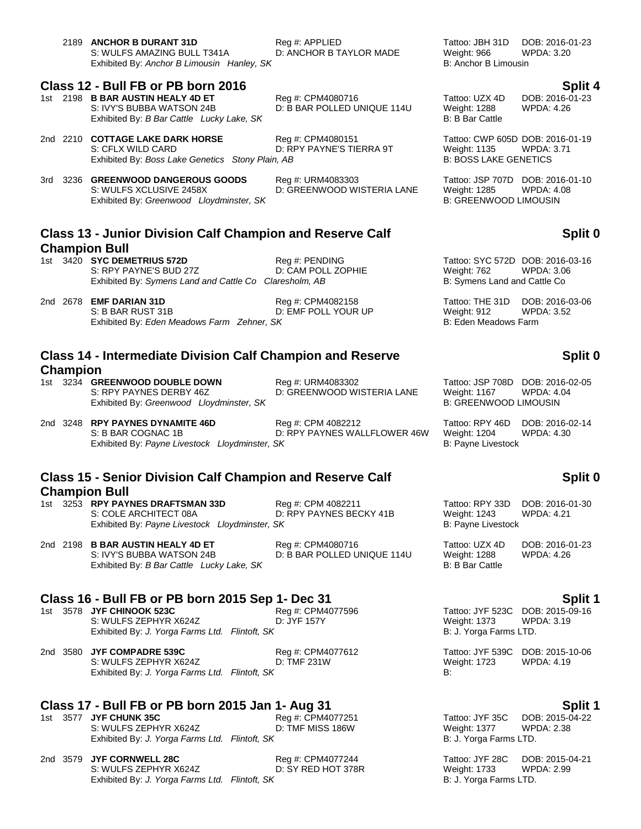|     |                 | 2189 ANCHOR B DURANT 31D<br>S: WULFS AMAZING BULL T341A<br>Exhibited By: Anchor B Limousin Hanley, SK           | Reg #: APPLIED<br>D: ANCHOR B TAYLOR MADE          | Tattoo: JBH 31D<br>Weight: 966<br>B: Anchor B Limousin                                  | DOB: 2016-01-23<br><b>WPDA: 3.20</b>            |
|-----|-----------------|-----------------------------------------------------------------------------------------------------------------|----------------------------------------------------|-----------------------------------------------------------------------------------------|-------------------------------------------------|
|     |                 | Class 12 - Bull FB or PB born 2016                                                                              |                                                    |                                                                                         |                                                 |
|     |                 | 1st 2198 B BAR AUSTIN HEALY 4D ET<br>S: IVY'S BUBBA WATSON 24B<br>Exhibited By: B Bar Cattle Lucky Lake, SK     | Reg #: CPM4080716<br>D: B BAR POLLED UNIQUE 114U   | Tattoo: UZX 4D<br>Weight: 1288<br>B: B Bar Cattle                                       | Split 4<br>DOB: 2016-01-23<br><b>WPDA: 4.26</b> |
|     |                 | 2nd 2210 COTTAGE LAKE DARK HORSE<br>S: CFLX WILD CARD<br>Exhibited By: Boss Lake Genetics Stony Plain, AB       | Reg #: CPM4080151<br>D: RPY PAYNE'S TIERRA 9T      | Tattoo: CWP 605D DOB: 2016-01-19<br>Weight: 1135<br><b>B: BOSS LAKE GENETICS</b>        | <b>WPDA: 3.71</b>                               |
| 3rd |                 | 3236 GREENWOOD DANGEROUS GOODS<br>S: WULFS XCLUSIVE 2458X<br>Exhibited By: Greenwood Lloydminster, SK           | Reg #: URM4083303<br>D: GREENWOOD WISTERIA LANE    | Tattoo: JSP 707D DOB: 2016-01-10<br><b>Weight: 1285</b><br><b>B: GREENWOOD LIMOUSIN</b> | <b>WPDA: 4.08</b>                               |
|     |                 |                                                                                                                 |                                                    |                                                                                         |                                                 |
|     |                 | <b>Class 13 - Junior Division Calf Champion and Reserve Calf</b>                                                |                                                    |                                                                                         | Split 0                                         |
|     |                 | <b>Champion Bull</b>                                                                                            |                                                    |                                                                                         |                                                 |
|     |                 | 1st 3420 SYC DEMETRIUS 572D<br>S: RPY PAYNE'S BUD 27Z<br>Exhibited By: Symens Land and Cattle Co Claresholm, AB | Reg #: PENDING<br>D: CAM POLL ZOPHIE               | Tattoo: SYC 572D DOB: 2016-03-16<br>Weight: 762<br>B: Symens Land and Cattle Co         | <b>WPDA: 3.06</b>                               |
|     |                 | 2nd 2678 <b>EMF DARIAN 31D</b><br>S: B BAR RUST 31B<br>Exhibited By: Eden Meadows Farm Zehner, SK               | Reg #: CPM4082158<br>D: EMF POLL YOUR UP           | Tattoo: THE 31D<br>Weight: 912<br>B: Eden Meadows Farm                                  | DOB: 2016-03-06<br><b>WPDA: 3.52</b>            |
|     |                 | <b>Class 14 - Intermediate Division Calf Champion and Reserve</b>                                               |                                                    |                                                                                         | Split 0                                         |
|     | <b>Champion</b> |                                                                                                                 |                                                    |                                                                                         |                                                 |
|     |                 | 1st 3234 GREENWOOD DOUBLE DOWN<br>S: RPY PAYNES DERBY 46Z<br>Exhibited By: Greenwood Lloydminster, SK           | Reg #: URM4083302<br>D: GREENWOOD WISTERIA LANE    | Tattoo: JSP 708D DOB: 2016-02-05<br>Weight: 1167<br><b>B: GREENWOOD LIMOUSIN</b>        | <b>WPDA: 4.04</b>                               |
|     |                 | 2nd 3248 RPY PAYNES DYNAMITE 46D<br>S: B BAR COGNAC 1B<br>Exhibited By: Payne Livestock Lloydminster, SK        | Reg #: CPM 4082212<br>D: RPY PAYNES WALLFLOWER 46W | Tattoo: RPY 46D<br>Weight: 1204<br>B: Payne Livestock                                   | DOB: 2016-02-14<br><b>WPDA: 4.30</b>            |
|     |                 |                                                                                                                 |                                                    |                                                                                         |                                                 |
|     |                 | <b>Class 15 - Senior Division Calf Champion and Reserve Calf</b>                                                |                                                    |                                                                                         | Split 0                                         |
|     |                 | <b>Champion Bull</b>                                                                                            |                                                    |                                                                                         |                                                 |
| 1st |                 | 3253 RPY PAYNES DRAFTSMAN 33D<br>S: COLE ARCHITECT 08A<br>Exhibited By: Payne Livestock Lloydminster, SK        | Reg #: CPM 4082211<br>D: RPY PAYNES BECKY 41B      | Tattoo: RPY 33D<br><b>Weight: 1243</b><br>B: Payne Livestock                            | DOB: 2016-01-30<br><b>WPDA: 4.21</b>            |
|     |                 | 2nd 2198 B BAR AUSTIN HEALY 4D ET<br>S: IVY'S BUBBA WATSON 24B<br>Exhibited By: B Bar Cattle Lucky Lake, SK     | Reg #: CPM4080716<br>D: B BAR POLLED UNIQUE 114U   | Tattoo: UZX 4D<br>Weight: 1288<br>B: B Bar Cattle                                       | DOB: 2016-01-23<br>WPDA: 4.26                   |

Exhibited By: *B Bar Cattle Lucky Lake, SK* 

# **Class 16 - Bull FB or PB born 2015 Sep 1- Dec 31**<br>1st 3578 JYF CHINOOK 523C **Split 1** Reg #: CPM4077596 **Split 1** Tattoo: JYF 523C DOB: 2015-09-16

S: WULFS ZEPHYR X624Z D: JYF 157Y Weight: 1373 WPI Exhibited By: J. Yorga Farms Ltd. Flintoft, SK Sand Discover Exhibited By: *J. Yorga Farms Ltd. Flintoft, SK* 

2nd 3580 **JYF COMPADRE 539C** Reg #: CPM4077612 Tattoo: JYF 539C DOB: 2015-10-06 S: WULFS ZEPHYR X624Z D: TMF 231W D.<br>Exhibited By: *J. Yorga Farms Ltd. Flintoft. SK* B: 4.1923 B: Exhibited By: *J. Yorga Farms Ltd. Flintoft, SK* 

## **Class 17 - Bull FB or PB born 2015 Jan 1- Aug 31 Split 1**

1st 3577 **JYF CHUNK 35C** Reg #: CPM4077251 Tattoo: JYF 35C DOB: 2015-04-22 S: WULFS ZEPHYR X624Z D: TMF MISS 186W Weight: 1377 WPDA: 2.38 Exhibited By: *J. Yorga Farms Ltd. Flintoft, SK* B: J. Yorga Farms LTD.

|  | 2nd 3579 JYF CORNWELL 28C                      | Reg #: CPM4077244  |
|--|------------------------------------------------|--------------------|
|  | S: WULFS ZEPHYR X624Z                          | D: SY RED HOT 378F |
|  | Exhibited By: J. Yorga Farms Ltd. Flintoft, SK |                    |

1st 3578 **Julie 35 Tattoo: JYF 523C DOB: 2015-09-16**<br>1st 373 **Tattoo: JYF 157Y** Weight: 1373 WPDA: 3.19

Tattoo: JYF 28C DOB: 2015-04-21 R: Weight: 1733 WPDA: 2.99 B: *J. Yorga Farms LTD.*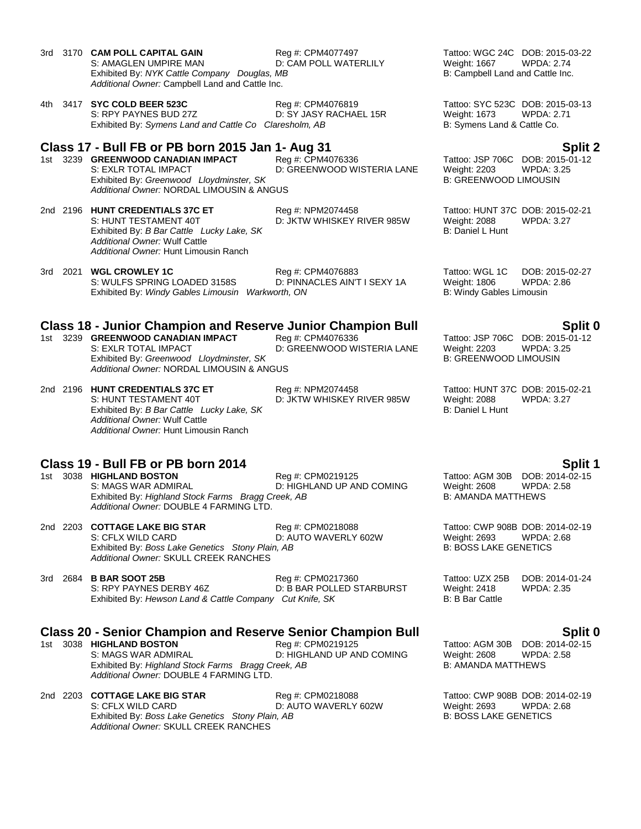- 3rd 3170 **CAM POLL CAPITAL GAIN** Reg #: CPM4077497 **Tattoo: WGC 24C DOB: 2015-03-22** S: AMAGLEN UMPIRE MAN D: CAM POLL WATERLILY Weight: 1667 WPDA: 2.74 S: AMAGLEN UMPIRE MAN D: CAM POLL WATERLILY Weight: 1667 Exhibited By: *NYK Cattle Company Douglas, MB* B: Campbell Land and Cattle Inc. *Additional Owner:* Campbell Land and Cattle Inc.
- 4th 3417 **SYC COLD BEER 523C** Reg #: CPM4076819 Tattoo: SYC 523C DOB: 2015-03-13 S: RPY PAYNES BUD 27Z D: SY JASY RACHAEL 15R Weight: 1673 Exhibited By: *Symens Land and Cattle Co Claresholm, AB* B: Symens Land & Cattle Co.

# **Class 17 - Bull FB or PB born 2015 Jan 1- Aug 31 Split 2**

- 1st 3239 **GREENWOOD CANADIAN IMPACT** Reg #: CPM4076336 Tattoo: JSP 706C DOB: 2015-0<br>S: EXLR TOTAL IMPACT D: GREENWOOD WISTERIA LANE Weight: 2203 WPDA: 3.25 Exhibited By: Greenwood Lloydminster, SK *Additional Owner:* NORDAL LIMOUSIN & ANGUS
- 2nd 2196 **HUNT CREDENTIALS 37C ET** Reg #: NPM2074458 Tattoo: HUNT 37C DOB: 2015-02-21 Exhibited By: *B Bar Cattle Lucky Lake, SK Additional Owner:* Wulf Cattle *Additional Owner:* Hunt Limousin Ranch
- 3rd 2021 **WGL CROWLEY 1C** Reg #: CPM4076883 Tattoo: WGL 1C DOB: 2015-02-27 S: WULFS SPRING LOADED 3158S D: PINNACLES AIN'T I SEXY 1A Weight: 1806 WPDA: 2.86 Exhibited By: *Windy Gables Limousin Warkworth, ON* B: Windy Gables Limousin **B**: Windy Gables Limousin

### **Class 18 - Junior Champion and Reserve Junior Champion Bull Split 0**

- 1st 3239 **GREENWOOD CANADIAN IMPACT** Reg #: CPM4076336 Tattoo: JSP 706C DOB: 2015-01-12<br>S: EXLR TOTAL IMPACT D: GREENWOOD WISTERIA LANE Weight: 2203 WPDA: 3.25 Exhibited By: Greenwood Lloydminster, SK B: GREENWOOD LIMOUSIN *Additional Owner:* NORDAL LIMOUSIN & ANGUS
- 2nd 2196 **HUNT CREDENTIALS 37C ET** Reg #: NPM2074458 Tattoo: HUNT 37C DOB: 2015-02-21 Exhibited By: *B Bar Cattle Lucky Lake, SK Additional Owner:* Wulf Cattle *Additional Owner:* Hunt Limousin Ranch

## **Class 19 - Bull FB or PB born 2014 Split 1**

- 1st 3038 **HIGHLAND BOSTON** Reg #: CPM0219125 Tattoo: AGM 30B DOB: 2014-02-15 S: MAGS WAR ADMIRAL **DIGHLAND UP AND COMING** Weight: 2608 WPDA: 2.58 Exhibited By: *Highland Stock Farms Bragg Creek, AB* B: AMANDA MATTHEWS *Additional Owner:* DOUBLE 4 FARMING LTD.
- 2nd 2203 **COTTAGE LAKE BIG STAR** Reg #: CPM0218088 Tattoo: CWP 908B DOB: 2014-02-19 S: CFLX WILD CARD **DEALLY OUT CARD** D: AUTO WAVERLY 602W Weight: 2693 Exhibited By: *Boss Lake Genetics Stony Plain, AB* B: **BOSS LAKE GENETICS** *Additional Owner:* SKULL CREEK RANCHES

### 3rd 2684 **B BAR SOOT 25B** Reg #: CPM0217360 **Tattoo: UZX 25B DOB: 2014-01-24**<br>S: RPY PAYNES DERBY 46Z D: B BAR POLLED STARBURST Weight: 2418 WPDA: 2.35 S: RPY PAYNES DERBY 46Z DERERY 162 D: B BAR POLLED STARBURST Weight: 2418<br>Exhibited By: Hewson Land & Cattle Company Cut Knife, SK B Cattle B: B Bar Cattle Exhibited By: Hewson Land & Cattle Company Cut Knife, SK

# **Class 20 - Senior Champion and Reserve Senior Champion Bull Split 0**

- 1st 3038 **HIGHLAND BOSTON Reg #: CPM0219125** Tattoo: AGM 30B DOB: 2014-02-15<br>S: MAGS WAR ADMIRAL D: HIGHLAND UP AND COMING Weight: 2608 WPDA: 2.58 D: HIGHLAND UP AND COMING Weight: 2608 WPDA<br>ree*k. AB* B: AMANDA MATTHEWS Exhibited By: *Highland Stock Farms Bragg Creek, AB Additional Owner:* DOUBLE 4 FARMING LTD.
- 2nd 2203 **COTTAGE LAKE BIG STAR** Reg #: CPM0218088 Tattoo: CWP 908B DOB: 2014-02-19 Exhibited By: *Boss Lake Genetics Stony Plain, AB Additional Owner:* SKULL CREEK RANCHES

D: GREENWOOD WISTERIA LANE Weight: 2203 WPDA: 3.<br>B: GREENWOOD LIMOUSIN

D: JKTW WHISKEY RIVER 985W Weight: 2088 WPDA: 3.27<br>B: Daniel L Hunt

D: GREENWOOD WISTERIA LANE Weight: 2203 WPDA: 3.25

D: JKTW WHISKEY RIVER 985W Weight: 2088<br>B: Daniel L Hunt

D: AUTO WAVERLY 602W Weight: 2693 WPDA:<br>2. AB B: BOSS LAKE GENETICS